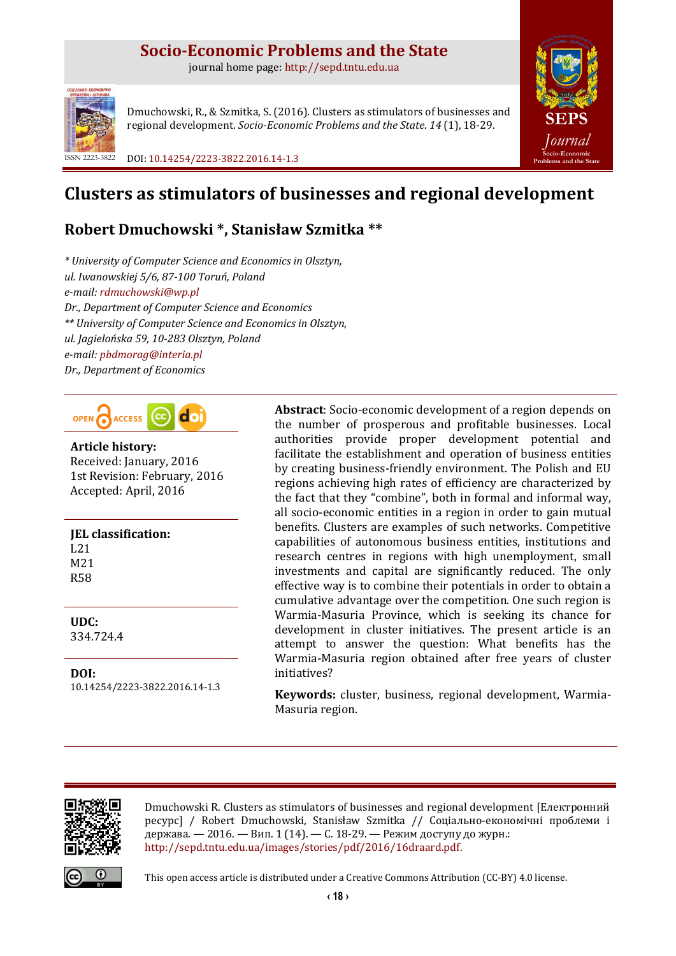## **Socio-Economic Problems and the State**

journal home page: [http://sepd.tntu.edu.ua](http://sepd.tntu.edu.ua/)



Dmuchowski, R., & Szmitka, S. (2016). Clusters as stimulators of businesses and regional development. *Socio-Economic Problems and the State*. *14* (1), 18-29.

ISSN 2223-3822 DOI: [10.14254/2223-3822.2016.14-1.3](http://dx.doi.org/10.14254/2223-3822.2016.14-1.3)



# **Clusters as stimulators of businesses and regional development**

## **Robert Dmuchowski \*, Stanisław Szmitka \*\***

*\* University of Computer Science and Economics in Olsztyn, ul. Iwanowskiej 5/6, 87-100 Toruń, Poland e-mail: [rdmuchowski@wp.pl](mailto:rdmuchowski@wp.pl) Dr., Department of Computer Science and Economics \*\* University of Computer Science and Economics in Olsztyn, ul. Jagielońska 59, 10-283 Olsztyn, Poland e-mail: [pbdmorag@interia.pl](mailto:pbdmorag@interia.pl) Dr., Department of Economics*



**Article history:** Received: January, 2016 1st Revision: February, 2016 Accepted: April, 2016

**JEL classification:** L21 M21 R58

**UDC:** 334.724.4

**DOI:** 10.14254/2223-3822.2016.14-1.3 **Abstract**: Socio-economic development of a region depends on the number of prosperous and profitable businesses. Local authorities provide proper development potential and facilitate the establishment and operation of business entities by creating business-friendly environment. The Polish and EU regions achieving high rates of efficiency are characterized by the fact that they "combine", both in formal and informal way, all socio-economic entities in a region in order to gain mutual benefits. Clusters are examples of such networks. Competitive capabilities of autonomous business entities, institutions and research centres in regions with high unemployment, small investments and capital are significantly reduced. The only effective way is to combine their potentials in order to obtain a cumulative advantage over the competition. One such region is Warmia-Masuria Province, which is seeking its chance for development in cluster initiatives. The present article is an attempt to answer the question: What benefits has the Warmia-Masuria region obtained after free years of cluster initiatives?

**Keywords:** cluster, business, regional development, Warmia-Masuria region.



Dmuchowski R. Clusters as stimulators of businesses and regional development [Електронний ресурс] / Robert Dmuchowski, Stanisław Szmitka // Соціально-економічні проблеми і держава. — 2016. — Вип. 1 (14). — С. 18-29. — Режим доступу до журн.: [http://sepd.tntu.edu.ua/images/stories/pdf/2016/16draard.pdf.](http://sepd.tntu.edu.ua/images/stories/pdf/2016/16hyaoib.pdf)



This open access article is distributed under [a Creative Commons Attribution \(CC-BY\) 4.0 license.](http://creativecommons.org/licenses/by/4.0/)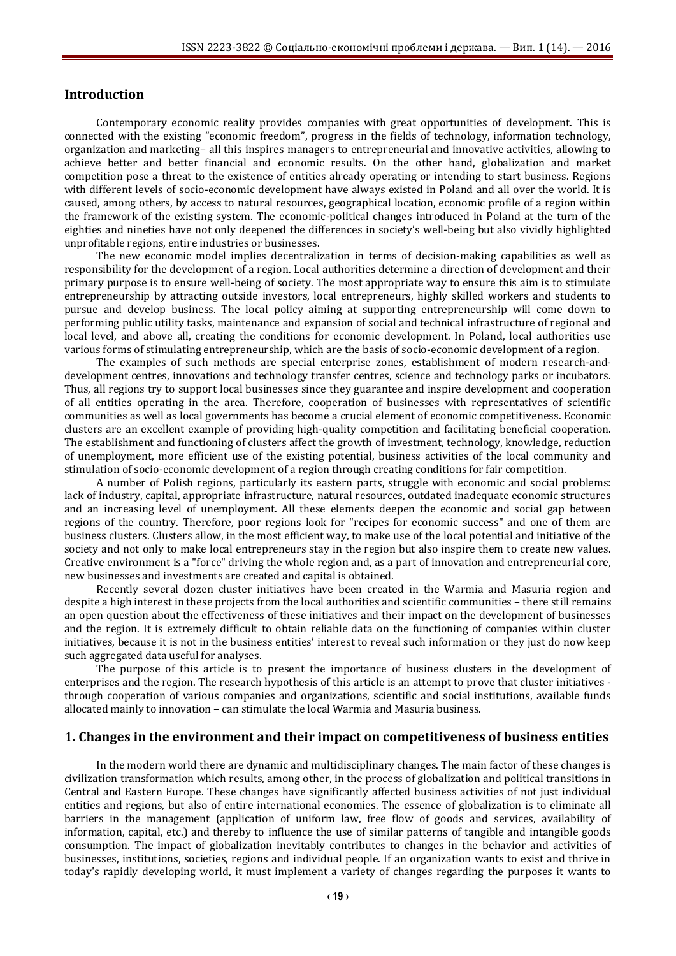### **Introduction**

Contemporary economic reality provides companies with great opportunities of development. This is connected with the existing "economic freedom", progress in the fields of technology, information technology, organization and marketing– all this inspires managers to entrepreneurial and innovative activities, allowing to achieve better and better financial and economic results. On the other hand, globalization and market competition pose a threat to the existence of entities already operating or intending to start business. Regions with different levels of socio-economic development have always existed in Poland and all over the world. It is caused, among others, by access to natural resources, geographical location, economic profile of a region within the framework of the existing system. The economic-political changes introduced in Poland at the turn of the eighties and nineties have not only deepened the differences in society's well-being but also vividly highlighted unprofitable regions, entire industries or businesses.

The new economic model implies decentralization in terms of decision-making capabilities as well as responsibility for the development of a region. Local authorities determine a direction of development and their primary purpose is to ensure well-being of society. The most appropriate way to ensure this aim is to stimulate entrepreneurship by attracting outside investors, local entrepreneurs, highly skilled workers and students to pursue and develop business. The local policy aiming at supporting entrepreneurship will come down to performing public utility tasks, maintenance and expansion of social and technical infrastructure of regional and local level, and above all, creating the conditions for economic development. In Poland, local authorities use various forms of stimulating entrepreneurship, which are the basis of socio-economic development of a region.

The examples of such methods are special enterprise zones, establishment of modern research-anddevelopment centres, innovations and technology transfer centres, science and technology parks or incubators. Thus, all regions try to support local businesses since they guarantee and inspire development and cooperation of all entities operating in the area. Therefore, cooperation of businesses with representatives of scientific communities as well as local governments has become a crucial element of economic competitiveness. Economic clusters are an excellent example of providing high-quality competition and facilitating beneficial cooperation. The establishment and functioning of clusters affect the growth of investment, technology, knowledge, reduction of unemployment, more efficient use of the existing potential, business activities of the local community and stimulation of socio-economic development of a region through creating conditions for fair competition.

A number of Polish regions, particularly its eastern parts, struggle with economic and social problems: lack of industry, capital, appropriate infrastructure, natural resources, outdated inadequate economic structures and an increasing level of unemployment. All these elements deepen the economic and social gap between regions of the country. Therefore, poor regions look for "recipes for economic success" and one of them are business clusters. Clusters allow, in the most efficient way, to make use of the local potential and initiative of the society and not only to make local entrepreneurs stay in the region but also inspire them to create new values. Creative environment is a "force" driving the whole region and, as a part of innovation and entrepreneurial core, new businesses and investments are created and capital is obtained.

Recently several dozen cluster initiatives have been created in the Warmia and Masuria region and despite a high interest in these projects from the local authorities and scientific communities – there still remains an open question about the effectiveness of these initiatives and their impact on the development of businesses and the region. It is extremely difficult to obtain reliable data on the functioning of companies within cluster initiatives, because it is not in the business entities' interest to reveal such information or they just do now keep such aggregated data useful for analyses.

The purpose of this article is to present the importance of business clusters in the development of enterprises and the region. The research hypothesis of this article is an attempt to prove that cluster initiatives through cooperation of various companies and organizations, scientific and social institutions, available funds allocated mainly to innovation – can stimulate the local Warmia and Masuria business.

#### **1. Changes in the environment and their impact on competitiveness of business entities**

In the modern world there are dynamic and multidisciplinary changes. The main factor of these changes is civilization transformation which results, among other, in the process of globalization and political transitions in Central and Eastern Europe. These changes have significantly affected business activities of not just individual entities and regions, but also of entire international economies. The essence of globalization is to eliminate all barriers in the management (application of uniform law, free flow of goods and services, availability of information, capital, etc.) and thereby to influence the use of similar patterns of tangible and intangible goods consumption. The impact of globalization inevitably contributes to changes in the behavior and activities of businesses, institutions, societies, regions and individual people. If an organization wants to exist and thrive in today's rapidly developing world, it must implement a variety of changes regarding the purposes it wants to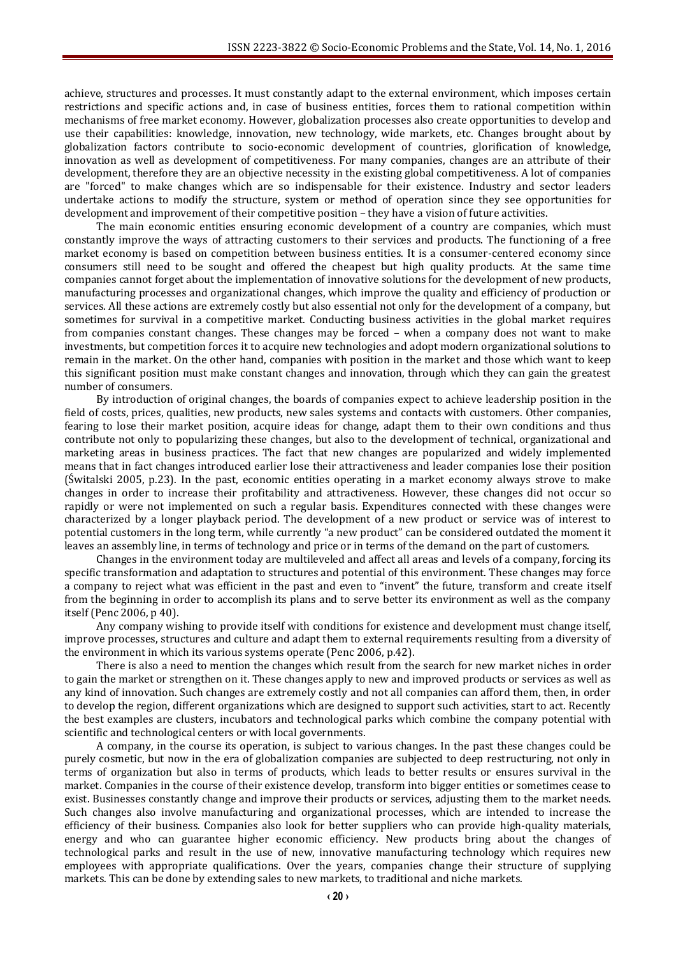achieve, structures and processes. It must constantly adapt to the external environment, which imposes certain restrictions and specific actions and, in case of business entities, forces them to rational competition within mechanisms of free market economy. However, globalization processes also create opportunities to develop and use their capabilities: knowledge, innovation, new technology, wide markets, etc. Changes brought about by globalization factors contribute to socio-economic development of countries, glorification of knowledge, innovation as well as development of competitiveness. For many companies, changes are an attribute of their development, therefore they are an objective necessity in the existing global competitiveness. A lot of companies are "forced" to make changes which are so indispensable for their existence. Industry and sector leaders undertake actions to modify the structure, system or method of operation since they see opportunities for development and improvement of their competitive position – they have a vision of future activities.

The main economic entities ensuring economic development of a country are companies, which must constantly improve the ways of attracting customers to their services and products. The functioning of a free market economy is based on competition between business entities. It is a consumer-centered economy since consumers still need to be sought and offered the cheapest but high quality products. At the same time companies cannot forget about the implementation of innovative solutions for the development of new products, manufacturing processes and organizational changes, which improve the quality and efficiency of production or services. All these actions are extremely costly but also essential not only for the development of a company, but sometimes for survival in a competitive market. Conducting business activities in the global market requires from companies constant changes. These changes may be forced – when a company does not want to make investments, but competition forces it to acquire new technologies and adopt modern organizational solutions to remain in the market. On the other hand, companies with position in the market and those which want to keep this significant position must make constant changes and innovation, through which they can gain the greatest number of consumers.

By introduction of original changes, the boards of companies expect to achieve leadership position in the field of costs, prices, qualities, new products, new sales systems and contacts with customers. Other companies, fearing to lose their market position, acquire ideas for change, adapt them to their own conditions and thus contribute not only to popularizing these changes, but also to the development of technical, organizational and marketing areas in business practices. The fact that new changes are popularized and widely implemented means that in fact changes introduced earlier lose their attractiveness and leader companies lose their position (Świtalski 2005, p.23). In the past, economic entities operating in a market economy always strove to make changes in order to increase their profitability and attractiveness. However, these changes did not occur so rapidly or were not implemented on such a regular basis. Expenditures connected with these changes were characterized by a longer playback period. The development of a new product or service was of interest to potential customers in the long term, while currently "a new product" can be considered outdated the moment it leaves an assembly line, in terms of technology and price or in terms of the demand on the part of customers.

Changes in the environment today are multileveled and affect all areas and levels of a company, forcing its specific transformation and adaptation to structures and potential of this environment. These changes may force a company to reject what was efficient in the past and even to "invent" the future, transform and create itself from the beginning in order to accomplish its plans and to serve better its environment as well as the company itself (Penc 2006, p 40).

Any company wishing to provide itself with conditions for existence and development must change itself, improve processes, structures and culture and adapt them to external requirements resulting from a diversity of the environment in which its various systems operate (Penc 2006, p.42).

There is also a need to mention the changes which result from the search for new market niches in order to gain the market or strengthen on it. These changes apply to new and improved products or services as well as any kind of innovation. Such changes are extremely costly and not all companies can afford them, then, in order to develop the region, different organizations which are designed to support such activities, start to act. Recently the best examples are clusters, incubators and technological parks which combine the company potential with scientific and technological centers or with local governments.

A company, in the course its operation, is subject to various changes. In the past these changes could be purely cosmetic, but now in the era of globalization companies are subjected to deep restructuring, not only in terms of organization but also in terms of products, which leads to better results or ensures survival in the market. Companies in the course of their existence develop, transform into bigger entities or sometimes cease to exist. Businesses constantly change and improve their products or services, adjusting them to the market needs. Such changes also involve manufacturing and organizational processes, which are intended to increase the efficiency of their business. Companies also look for better suppliers who can provide high-quality materials, energy and who can guarantee higher economic efficiency. New products bring about the changes of technological parks and result in the use of new, innovative manufacturing technology which requires new employees with appropriate qualifications. Over the years, companies change their structure of supplying markets. This can be done by extending sales to new markets, to traditional and niche markets.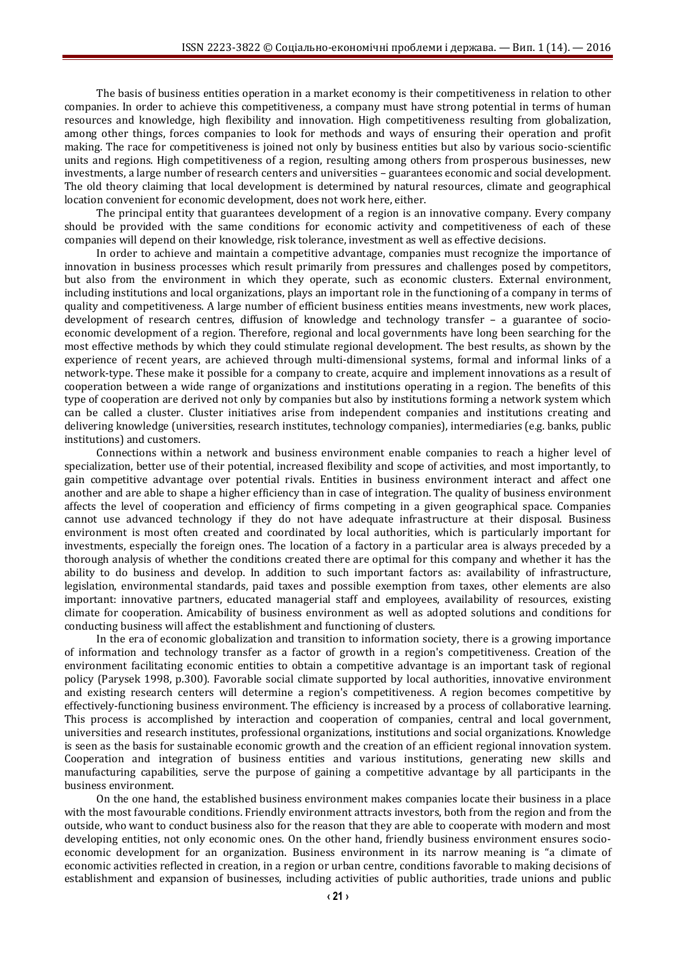The basis of business entities operation in a market economy is their competitiveness in relation to other companies. In order to achieve this competitiveness, a company must have strong potential in terms of human resources and knowledge, high flexibility and innovation. High competitiveness resulting from globalization, among other things, forces companies to look for methods and ways of ensuring their operation and profit making. The race for competitiveness is joined not only by business entities but also by various socio-scientific units and regions. High competitiveness of a region, resulting among others from prosperous businesses, new investments, a large number of research centers and universities – guarantees economic and social development. The old theory claiming that local development is determined by natural resources, climate and geographical location convenient for economic development, does not work here, either.

The principal entity that guarantees development of a region is an innovative company. Every company should be provided with the same conditions for economic activity and competitiveness of each of these companies will depend on their knowledge, risk tolerance, investment as well as effective decisions.

In order to achieve and maintain a competitive advantage, companies must recognize the importance of innovation in business processes which result primarily from pressures and challenges posed by competitors, but also from the environment in which they operate, such as economic clusters. External environment, including institutions and local organizations, plays an important role in the functioning of a company in terms of quality and competitiveness. A large number of efficient business entities means investments, new work places, development of research centres, diffusion of knowledge and technology transfer – a guarantee of socioeconomic development of a region. Therefore, regional and local governments have long been searching for the most effective methods by which they could stimulate regional development. The best results, as shown by the experience of recent years, are achieved through multi-dimensional systems, formal and informal links of a network-type. These make it possible for a company to create, acquire and implement innovations as a result of cooperation between a wide range of organizations and institutions operating in a region. The benefits of this type of cooperation are derived not only by companies but also by institutions forming a network system which can be called a cluster. Cluster initiatives arise from independent companies and institutions creating and delivering knowledge (universities, research institutes, technology companies), intermediaries (e.g. banks, public institutions) and customers.

Connections within a network and business environment enable companies to reach a higher level of specialization, better use of their potential, increased flexibility and scope of activities, and most importantly, to gain competitive advantage over potential rivals. Entities in business environment interact and affect one another and are able to shape a higher efficiency than in case of integration. The quality of business environment affects the level of cooperation and efficiency of firms competing in a given geographical space. Companies cannot use advanced technology if they do not have adequate infrastructure at their disposal. Business environment is most often created and coordinated by local authorities, which is particularly important for investments, especially the foreign ones. The location of a factory in a particular area is always preceded by a thorough analysis of whether the conditions created there are optimal for this company and whether it has the ability to do business and develop. In addition to such important factors as: availability of infrastructure, legislation, environmental standards, paid taxes and possible exemption from taxes, other elements are also important: innovative partners, educated managerial staff and employees, availability of resources, existing climate for cooperation. Amicability of business environment as well as adopted solutions and conditions for conducting business will affect the establishment and functioning of clusters.

In the era of economic globalization and transition to information society, there is a growing importance of information and technology transfer as a factor of growth in a region's competitiveness. Creation of the environment facilitating economic entities to obtain a competitive advantage is an important task of regional policy (Parysek 1998, p.300). Favorable social climate supported by local authorities, innovative environment and existing research centers will determine a region's competitiveness. A region becomes competitive by effectively-functioning business environment. The efficiency is increased by a process of collaborative learning. This process is accomplished by interaction and cooperation of companies, central and local government, universities and research institutes, professional organizations, institutions and social organizations. Knowledge is seen as the basis for sustainable economic growth and the creation of an efficient regional innovation system. Cooperation and integration of business entities and various institutions, generating new skills and manufacturing capabilities, serve the purpose of gaining a competitive advantage by all participants in the business environment.

On the one hand, the established business environment makes companies locate their business in a place with the most favourable conditions. Friendly environment attracts investors, both from the region and from the outside, who want to conduct business also for the reason that they are able to cooperate with modern and most developing entities, not only economic ones. On the other hand, friendly business environment ensures socioeconomic development for an organization. Business environment in its narrow meaning is "a climate of economic activities reflected in creation, in a region or urban centre, conditions favorable to making decisions of establishment and expansion of businesses, including activities of public authorities, trade unions and public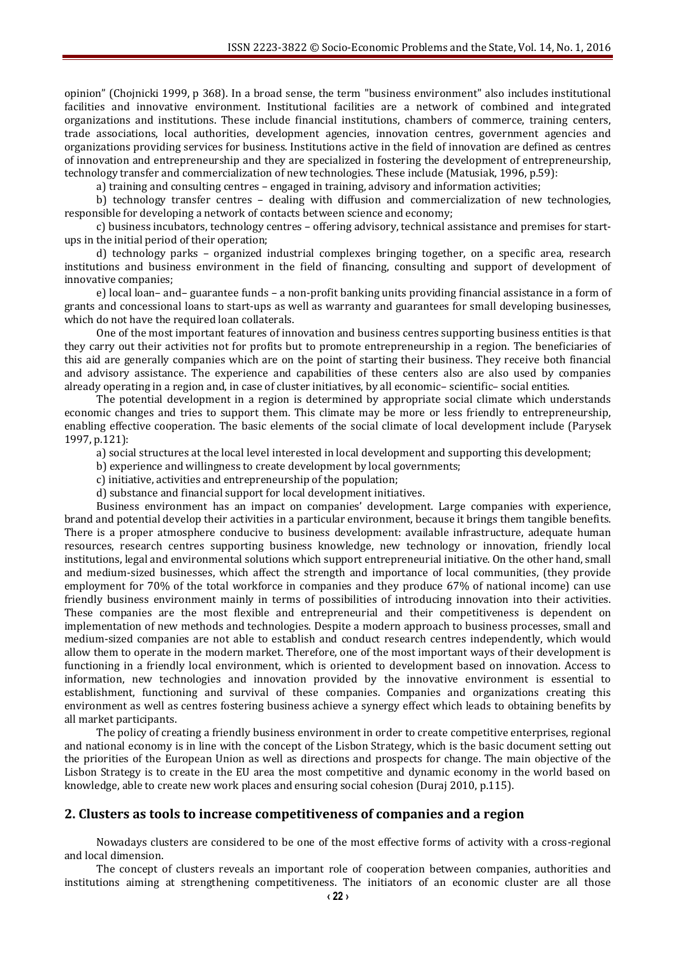opinion" (Chojnicki 1999, p 368). In a broad sense, the term "business environment" also includes institutional facilities and innovative environment. Institutional facilities are a network of combined and integrated organizations and institutions. These include financial institutions, chambers of commerce, training centers, trade associations, local authorities, development agencies, innovation centres, government agencies and organizations providing services for business. Institutions active in the field of innovation are defined as centres of innovation and entrepreneurship and they are specialized in fostering the development of entrepreneurship, technology transfer and commercialization of new technologies. These include (Matusiak, 1996, p.59):

a) training and consulting centres – engaged in training, advisory and information activities;

b) technology transfer centres – dealing with diffusion and commercialization of new technologies, responsible for developing a network of contacts between science and economy;

c) business incubators, technology centres – offering advisory, technical assistance and premises for startups in the initial period of their operation;

d) technology parks – organized industrial complexes bringing together, on a specific area, research institutions and business environment in the field of financing, consulting and support of development of innovative companies;

e) local loan– and– guarantee funds – a non-profit banking units providing financial assistance in a form of grants and concessional loans to start-ups as well as warranty and guarantees for small developing businesses, which do not have the required loan collaterals.

One of the most important features of innovation and business centres supporting business entities is that they carry out their activities not for profits but to promote entrepreneurship in a region. The beneficiaries of this aid are generally companies which are on the point of starting their business. They receive both financial and advisory assistance. The experience and capabilities of these centers also are also used by companies already operating in a region and, in case of cluster initiatives, by all economic– scientific– social entities.

The potential development in a region is determined by appropriate social climate which understands economic changes and tries to support them. This climate may be more or less friendly to entrepreneurship, enabling effective cooperation. The basic elements of the social climate of local development include (Parysek 1997, p.121):

a) social structures at the local level interested in local development and supporting this development;

b) experience and willingness to create development by local governments;

c) initiative, activities and entrepreneurship of the population;

d) substance and financial support for local development initiatives.

Business environment has an impact on companies' development. Large companies with experience, brand and potential develop their activities in a particular environment, because it brings them tangible benefits. There is a proper atmosphere conducive to business development: available infrastructure, adequate human resources, research centres supporting business knowledge, new technology or innovation, friendly local institutions, legal and environmental solutions which support entrepreneurial initiative. On the other hand, small and medium-sized businesses, which affect the strength and importance of local communities, (they provide employment for 70% of the total workforce in companies and they produce 67% of national income) can use friendly business environment mainly in terms of possibilities of introducing innovation into their activities. These companies are the most flexible and entrepreneurial and their competitiveness is dependent on implementation of new methods and technologies. Despite a modern approach to business processes, small and medium-sized companies are not able to establish and conduct research centres independently, which would allow them to operate in the modern market. Therefore, one of the most important ways of their development is functioning in a friendly local environment, which is oriented to development based on innovation. Access to information, new technologies and innovation provided by the innovative environment is essential to establishment, functioning and survival of these companies. Companies and organizations creating this environment as well as centres fostering business achieve a synergy effect which leads to obtaining benefits by all market participants.

The policy of creating a friendly business environment in order to create competitive enterprises, regional and national economy is in line with the concept of the Lisbon Strategy, which is the basic document setting out the priorities of the European Union as well as directions and prospects for change. The main objective of the Lisbon Strategy is to create in the EU area the most competitive and dynamic economy in the world based on knowledge, able to create new work places and ensuring social cohesion (Duraj 2010, p.115).

#### **2. Clusters as tools to increase competitiveness of companies and a region**

Nowadays clusters are considered to be one of the most effective forms of activity with a cross-regional and local dimension.

The concept of clusters reveals an important role of cooperation between companies, authorities and institutions aiming at strengthening competitiveness. The initiators of an economic cluster are all those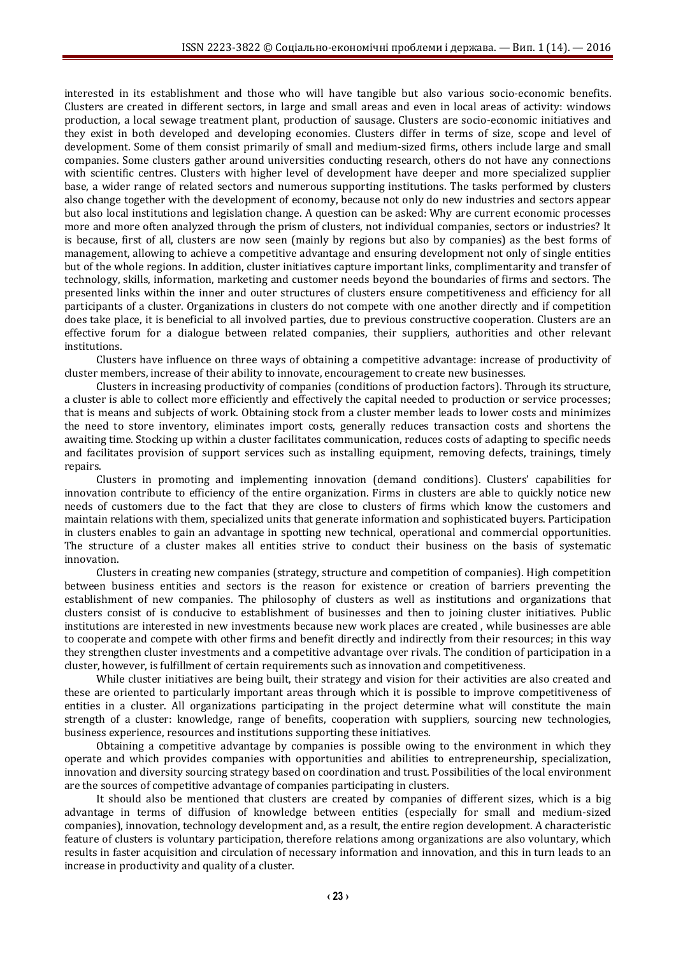interested in its establishment and those who will have tangible but also various socio-economic benefits. Clusters are created in different sectors, in large and small areas and even in local areas of activity: windows production, a local sewage treatment plant, production of sausage. Clusters are socio-economic initiatives and they exist in both developed and developing economies. Clusters differ in terms of size, scope and level of development. Some of them consist primarily of small and medium-sized firms, others include large and small companies. Some clusters gather around universities conducting research, others do not have any connections with scientific centres. Clusters with higher level of development have deeper and more specialized supplier base, a wider range of related sectors and numerous supporting institutions. The tasks performed by clusters also change together with the development of economy, because not only do new industries and sectors appear but also local institutions and legislation change. A question can be asked: Why are current economic processes more and more often analyzed through the prism of clusters, not individual companies, sectors or industries? It is because, first of all, clusters are now seen (mainly by regions but also by companies) as the best forms of management, allowing to achieve a competitive advantage and ensuring development not only of single entities but of the whole regions. In addition, cluster initiatives capture important links, complimentarity and transfer of technology, skills, information, marketing and customer needs beyond the boundaries of firms and sectors. The presented links within the inner and outer structures of clusters ensure competitiveness and efficiency for all participants of a cluster. Organizations in clusters do not compete with one another directly and if competition does take place, it is beneficial to all involved parties, due to previous constructive cooperation. Clusters are an effective forum for a dialogue between related companies, their suppliers, authorities and other relevant institutions.

Clusters have influence on three ways of obtaining a competitive advantage: increase of productivity of cluster members, increase of their ability to innovate, encouragement to create new businesses.

Clusters in increasing productivity of companies (conditions of production factors). Through its structure, a cluster is able to collect more efficiently and effectively the capital needed to production or service processes; that is means and subjects of work. Obtaining stock from a cluster member leads to lower costs and minimizes the need to store inventory, eliminates import costs, generally reduces transaction costs and shortens the awaiting time. Stocking up within a cluster facilitates communication, reduces costs of adapting to specific needs and facilitates provision of support services such as installing equipment, removing defects, trainings, timely repairs.

Clusters in promoting and implementing innovation (demand conditions). Clusters' capabilities for innovation contribute to efficiency of the entire organization. Firms in clusters are able to quickly notice new needs of customers due to the fact that they are close to clusters of firms which know the customers and maintain relations with them, specialized units that generate information and sophisticated buyers. Participation in clusters enables to gain an advantage in spotting new technical, operational and commercial opportunities. The structure of a cluster makes all entities strive to conduct their business on the basis of systematic innovation.

Clusters in creating new companies (strategy, structure and competition of companies). High competition between business entities and sectors is the reason for existence or creation of barriers preventing the establishment of new companies. The philosophy of clusters as well as institutions and organizations that clusters consist of is conducive to establishment of businesses and then to joining cluster initiatives. Public institutions are interested in new investments because new work places are created , while businesses are able to cooperate and compete with other firms and benefit directly and indirectly from their resources; in this way they strengthen cluster investments and a competitive advantage over rivals. The condition of participation in a cluster, however, is fulfillment of certain requirements such as innovation and competitiveness.

While cluster initiatives are being built, their strategy and vision for their activities are also created and these are oriented to particularly important areas through which it is possible to improve competitiveness of entities in a cluster. All organizations participating in the project determine what will constitute the main strength of a cluster: knowledge, range of benefits, cooperation with suppliers, sourcing new technologies, business experience, resources and institutions supporting these initiatives.

Obtaining a competitive advantage by companies is possible owing to the environment in which they operate and which provides companies with opportunities and abilities to entrepreneurship, specialization, innovation and diversity sourcing strategy based on coordination and trust. Possibilities of the local environment are the sources of competitive advantage of companies participating in clusters.

It should also be mentioned that clusters are created by companies of different sizes, which is a big advantage in terms of diffusion of knowledge between entities (especially for small and medium-sized companies), innovation, technology development and, as a result, the entire region development. A characteristic feature of clusters is voluntary participation, therefore relations among organizations are also voluntary, which results in faster acquisition and circulation of necessary information and innovation, and this in turn leads to an increase in productivity and quality of a cluster.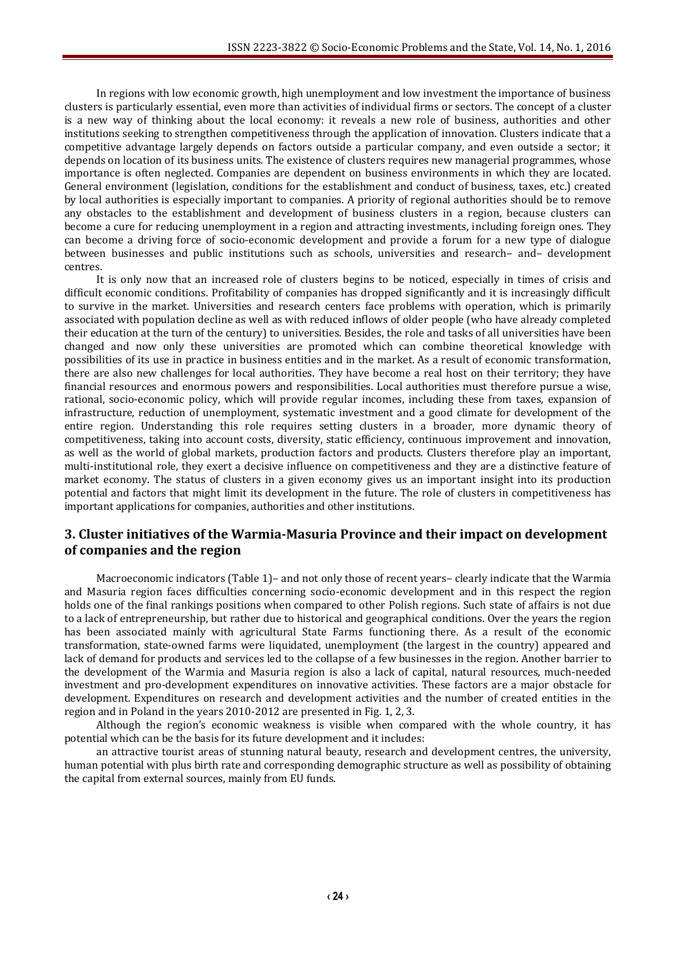In regions with low economic growth, high unemployment and low investment the importance of business clusters is particularly essential, even more than activities of individual firms or sectors. The concept of a cluster is a new way of thinking about the local economy: it reveals a new role of business, authorities and other institutions seeking to strengthen competitiveness through the application of innovation. Clusters indicate that a competitive advantage largely depends on factors outside a particular company, and even outside a sector; it depends on location of its business units. The existence of clusters requires new managerial programmes, whose importance is often neglected. Companies are dependent on business environments in which they are located. General environment (legislation, conditions for the establishment and conduct of business, taxes, etc.) created by local authorities is especially important to companies. A priority of regional authorities should be to remove any obstacles to the establishment and development of business clusters in a region, because clusters can become a cure for reducing unemployment in a region and attracting investments, including foreign ones. They can become a driving force of socio-economic development and provide a forum for a new type of dialogue between businesses and public institutions such as schools, universities and research– and– development centres.

It is only now that an increased role of clusters begins to be noticed, especially in times of crisis and difficult economic conditions. Profitability of companies has dropped significantly and it is increasingly difficult to survive in the market. Universities and research centers face problems with operation, which is primarily associated with population decline as well as with reduced inflows of older people (who have already completed their education at the turn of the century) to universities. Besides, the role and tasks of all universities have been changed and now only these universities are promoted which can combine theoretical knowledge with possibilities of its use in practice in business entities and in the market. As a result of economic transformation, there are also new challenges for local authorities. They have become a real host on their territory; they have financial resources and enormous powers and responsibilities. Local authorities must therefore pursue a wise, rational, socio-economic policy, which will provide regular incomes, including these from taxes, expansion of infrastructure, reduction of unemployment, systematic investment and a good climate for development of the entire region. Understanding this role requires setting clusters in a broader, more dynamic theory of competitiveness, taking into account costs, diversity, static efficiency, continuous improvement and innovation, as well as the world of global markets, production factors and products. Clusters therefore play an important, multi-institutional role, they exert a decisive influence on competitiveness and they are a distinctive feature of market economy. The status of clusters in a given economy gives us an important insight into its production potential and factors that might limit its development in the future. The role of clusters in competitiveness has important applications for companies, authorities and other institutions.

## **3. Cluster initiatives of the Warmia-Masuria Province and their impact on development of companies and the region**

Macroeconomic indicators (Table 1)– and not only those of recent years– clearly indicate that the Warmia and Masuria region faces difficulties concerning socio-economic development and in this respect the region holds one of the final rankings positions when compared to other Polish regions. Such state of affairs is not due to a lack of entrepreneurship, but rather due to historical and geographical conditions. Over the years the region has been associated mainly with agricultural State Farms functioning there. As a result of the economic transformation, state-owned farms were liquidated, unemployment (the largest in the country) appeared and lack of demand for products and services led to the collapse of a few businesses in the region. Another barrier to the development of the Warmia and Masuria region is also a lack of capital, natural resources, much-needed investment and pro-development expenditures on innovative activities. These factors are a major obstacle for development. Expenditures on research and development activities and the number of created entities in the region and in Poland in the years 2010-2012 are presented in Fig. 1, 2, 3.

Although the region's economic weakness is visible when compared with the whole country, it has potential which can be the basis for its future development and it includes:

an attractive tourist areas of stunning natural beauty, research and development centres, the university, human potential with plus birth rate and corresponding demographic structure as well as possibility of obtaining the capital from external sources, mainly from EU funds.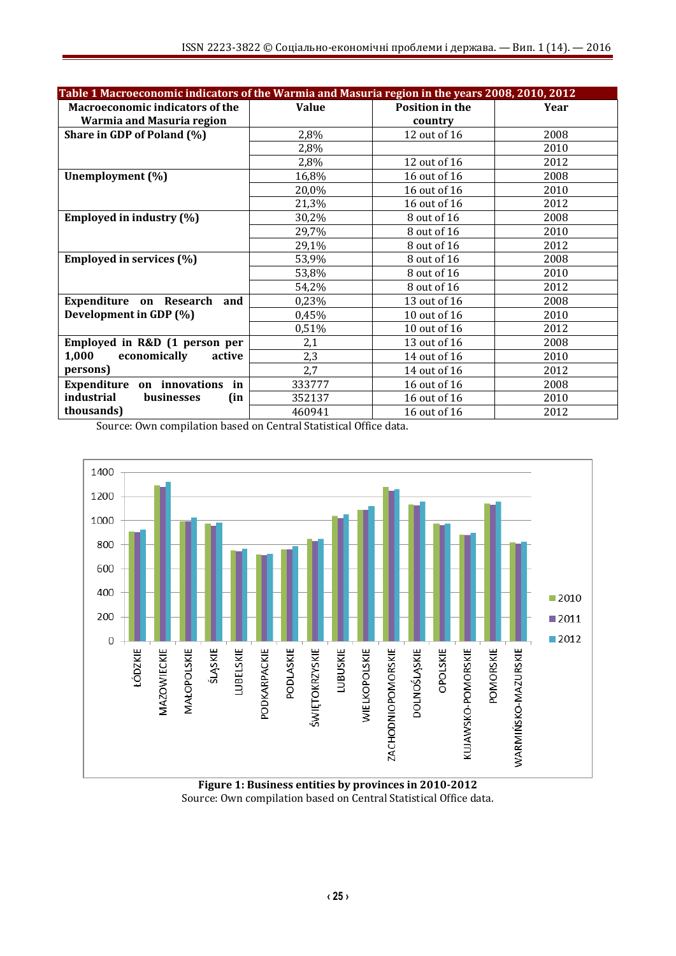| Table 1 Macroeconomic indicators of the Warmia and Masuria region in the years 2008, 2010, 2012 |              |                 |      |  |  |
|-------------------------------------------------------------------------------------------------|--------------|-----------------|------|--|--|
| <b>Macroeconomic indicators of the</b>                                                          | <b>Value</b> | Position in the | Year |  |  |
| Warmia and Masuria region                                                                       |              | country         |      |  |  |
| Share in GDP of Poland (%)                                                                      | 2,8%         | 12 out of 16    | 2008 |  |  |
|                                                                                                 | 2,8%         |                 | 2010 |  |  |
|                                                                                                 | 2,8%         | 12 out of 16    | 2012 |  |  |
| Unemployment (%)                                                                                | 16,8%        | 16 out of 16    | 2008 |  |  |
|                                                                                                 | 20,0%        | 16 out of 16    | 2010 |  |  |
|                                                                                                 | 21,3%        | 16 out of 16    | 2012 |  |  |
| Employed in industry (%)                                                                        | 30,2%        | 8 out of 16     | 2008 |  |  |
|                                                                                                 | 29,7%        | 8 out of 16     | 2010 |  |  |
|                                                                                                 | 29,1%        | 8 out of 16     | 2012 |  |  |
| Employed in services (%)                                                                        | 53,9%        | 8 out of 16     | 2008 |  |  |
|                                                                                                 | 53,8%        | 8 out of 16     | 2010 |  |  |
|                                                                                                 | 54,2%        | 8 out of 16     | 2012 |  |  |
| Expenditure on Research and                                                                     | 0,23%        | 13 out of 16    | 2008 |  |  |
| Development in GDP (%)                                                                          | 0,45%        | 10 out of 16    | 2010 |  |  |
|                                                                                                 | 0,51%        | 10 out of 16    | 2012 |  |  |
| Employed in R&D (1 person per                                                                   | 2,1          | 13 out of 16    | 2008 |  |  |
| 1,000<br>economically<br>active                                                                 | 2,3          | 14 out of 16    | 2010 |  |  |
| persons)                                                                                        | 2,7          | 14 out of 16    | 2012 |  |  |
| on innovations<br>Expenditure<br>in                                                             | 333777       | 16 out of 16    | 2008 |  |  |
| industrial<br><b>businesses</b><br>(in                                                          | 352137       | 16 out of 16    | 2010 |  |  |
| thousands)                                                                                      | 460941       | 16 out of 16    | 2012 |  |  |

Source: Own compilation based on Central Statistical Office data.



**Figure 1: Business entities by provinces in 2010-2012** Source: Own compilation based on Central Statistical Office data.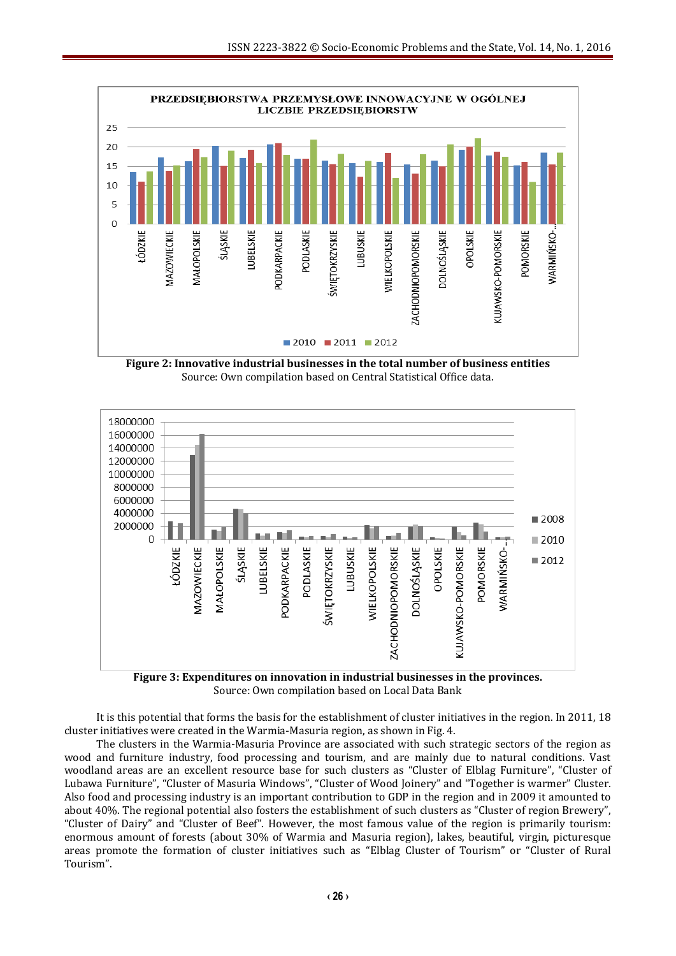

**Figure 2: Innovative industrial businesses in the total number of business entities** Source: Own compilation based on Central Statistical Office data.



Source: Own compilation based on Local Data Bank

It is this potential that forms the basis for the establishment of cluster initiatives in the region. In 2011, 18 cluster initiatives were created in the Warmia-Masuria region, as shown in Fig. 4.

The clusters in the Warmia-Masuria Province are associated with such strategic sectors of the region as wood and furniture industry, food processing and tourism, and are mainly due to natural conditions. Vast woodland areas are an excellent resource base for such clusters as "Cluster of Elblag Furniture", "Cluster of Lubawa Furniture", "Cluster of Masuria Windows", "Cluster of Wood Joinery" and "Together is warmer" Cluster. Also food and processing industry is an important contribution to GDP in the region and in 2009 it amounted to about 40%. The regional potential also fosters the establishment of such clusters as "Cluster of region Brewery", "Cluster of Dairy" and "Cluster of Beef". However, the most famous value of the region is primarily tourism: enormous amount of forests (about 30% of Warmia and Masuria region), lakes, beautiful, virgin, picturesque areas promote the formation of cluster initiatives such as "Elblag Cluster of Tourism" or "Cluster of Rural Tourism".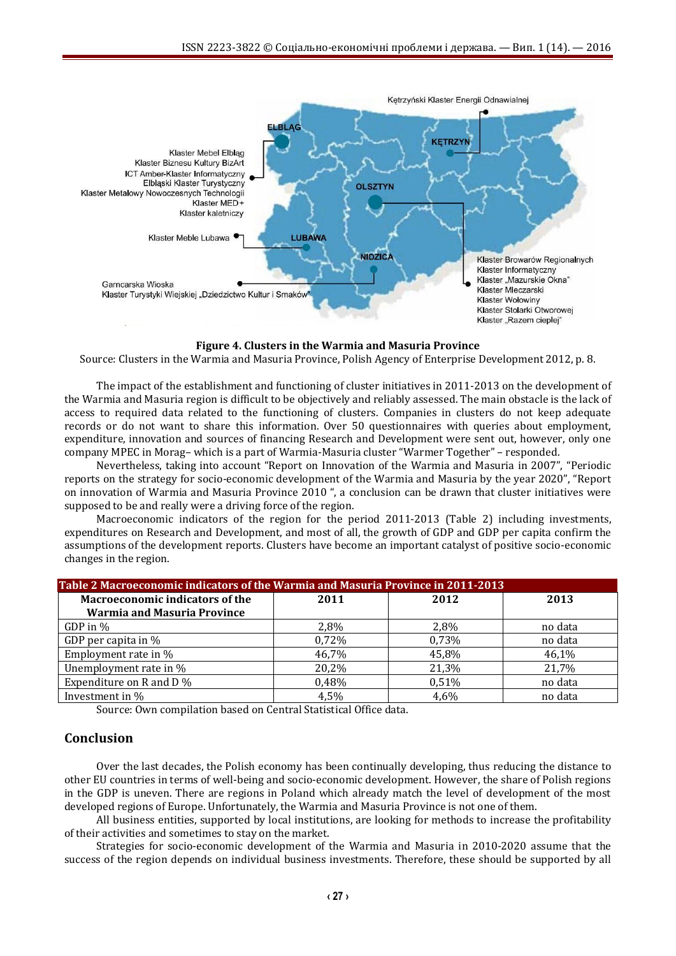

#### **Figure 4. Clusters in the Warmia and Masuria Province**

Source: Clusters in the Warmia and Masuria Province, Polish Agency of Enterprise Development 2012, p. 8.

The impact of the establishment and functioning of cluster initiatives in 2011-2013 on the development of the Warmia and Masuria region is difficult to be objectively and reliably assessed. The main obstacle is the lack of access to required data related to the functioning of clusters. Companies in clusters do not keep adequate records or do not want to share this information. Over 50 questionnaires with queries about employment, expenditure, innovation and sources of financing Research and Development were sent out, however, only one company MPEC in Morag– which is a part of Warmia-Masuria cluster "Warmer Together" – responded.

Nevertheless, taking into account "Report on Innovation of the Warmia and Masuria in 2007", "Periodic reports on the strategy for socio-economic development of the Warmia and Masuria by the year 2020", "Report on innovation of Warmia and Masuria Province 2010 ", a conclusion can be drawn that cluster initiatives were supposed to be and really were a driving force of the region.

Macroeconomic indicators of the region for the period 2011-2013 (Table 2) including investments, expenditures on Research and Development, and most of all, the growth of GDP and GDP per capita confirm the assumptions of the development reports. Clusters have become an important catalyst of positive socio-economic changes in the region.

| Table 2 Macroeconomic indicators of the Warmia and Masuria Province in 2011-2013 |       |       |         |  |
|----------------------------------------------------------------------------------|-------|-------|---------|--|
| <b>Macroeconomic indicators of the</b>                                           | 2011  | 2012  | 2013    |  |
| <b>Warmia and Masuria Province</b>                                               |       |       |         |  |
| GDP in $\%$                                                                      | 2,8%  | 2,8%  | no data |  |
| GDP per capita in %                                                              | 0,72% | 0,73% | no data |  |
| Employment rate in %                                                             | 46,7% | 45,8% | 46,1%   |  |
| Unemployment rate in %                                                           | 20,2% | 21,3% | 21,7%   |  |
| Expenditure on R and D %                                                         | 0,48% | 0,51% | no data |  |
| Investment in %                                                                  | 4,5%  | 4,6%  | no data |  |

Source: Own compilation based on Central Statistical Office data.

### **Conclusion**

Over the last decades, the Polish economy has been continually developing, thus reducing the distance to other EU countries in terms of well-being and socio-economic development. However, the share of Polish regions in the GDP is uneven. There are regions in Poland which already match the level of development of the most developed regions of Europe. Unfortunately, the Warmia and Masuria Province is not one of them.

All business entities, supported by local institutions, are looking for methods to increase the profitability of their activities and sometimes to stay on the market.

Strategies for socio-economic development of the Warmia and Masuria in 2010-2020 assume that the success of the region depends on individual business investments. Therefore, these should be supported by all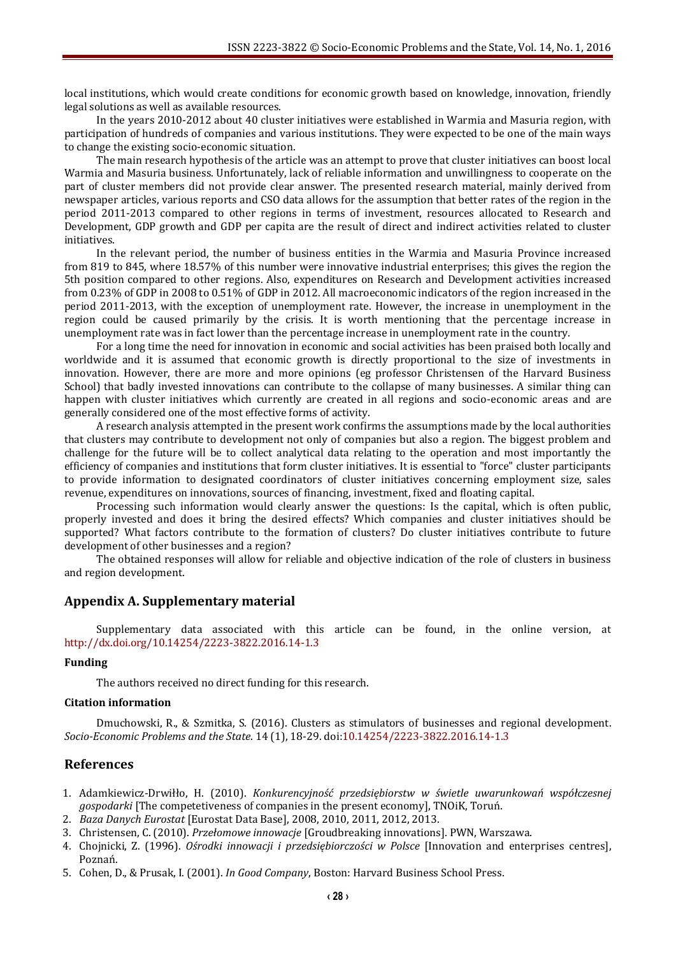local institutions, which would create conditions for economic growth based on knowledge, innovation, friendly legal solutions as well as available resources.

In the years 2010-2012 about 40 cluster initiatives were established in Warmia and Masuria region, with participation of hundreds of companies and various institutions. They were expected to be one of the main ways to change the existing socio-economic situation.

The main research hypothesis of the article was an attempt to prove that cluster initiatives can boost local Warmia and Masuria business. Unfortunately, lack of reliable information and unwillingness to cooperate on the part of cluster members did not provide clear answer. The presented research material, mainly derived from newspaper articles, various reports and CSO data allows for the assumption that better rates of the region in the period 2011-2013 compared to other regions in terms of investment, resources allocated to Research and Development, GDP growth and GDP per capita are the result of direct and indirect activities related to cluster initiatives.

In the relevant period, the number of business entities in the Warmia and Masuria Province increased from 819 to 845, where 18.57% of this number were innovative industrial enterprises; this gives the region the 5th position compared to other regions. Also, expenditures on Research and Development activities increased from 0.23% of GDP in 2008 to 0.51% of GDP in 2012. All macroeconomic indicators of the region increased in the period 2011-2013, with the exception of unemployment rate. However, the increase in unemployment in the region could be caused primarily by the crisis. It is worth mentioning that the percentage increase in unemployment rate was in fact lower than the percentage increase in unemployment rate in the country.

For a long time the need for innovation in economic and social activities has been praised both locally and worldwide and it is assumed that economic growth is directly proportional to the size of investments in innovation. However, there are more and more opinions (eg professor Christensen of the Harvard Business School) that badly invested innovations can contribute to the collapse of many businesses. A similar thing can happen with cluster initiatives which currently are created in all regions and socio-economic areas and are generally considered one of the most effective forms of activity.

A research analysis attempted in the present work confirms the assumptions made by the local authorities that clusters may contribute to development not only of companies but also a region. The biggest problem and challenge for the future will be to collect analytical data relating to the operation and most importantly the efficiency of companies and institutions that form cluster initiatives. It is essential to "force" cluster participants to provide information to designated coordinators of cluster initiatives concerning employment size, sales revenue, expenditures on innovations, sources of financing, investment, fixed and floating capital.

Processing such information would clearly answer the questions: Is the capital, which is often public, properly invested and does it bring the desired effects? Which companies and cluster initiatives should be supported? What factors contribute to the formation of clusters? Do cluster initiatives contribute to future development of other businesses and a region?

The obtained responses will allow for reliable and objective indication of the role of clusters in business and region development.

#### **Appendix A. Supplementary material**

Supplementary data associated with this article can be found, in the online version, at <http://dx.doi.org/10.14254/2223-3822.2016.14-1.3>

#### **Funding**

The authors received no direct funding for this research.

#### **Citation information**

Dmuchowski, R., & Szmitka, S. (2016). Clusters as stimulators of businesses and regional development. *Socio-Economic Problems and the State*. 14 (1), 18-29[. doi:10.14254/2223-3822.2016.14-1.3](http://dx.doi.org/10.14254/2223-3822.2016.14-1.3)

#### **References**

- 1. Adamkiewicz-Drwiłło, H. (2010). *Konkurencyjność przedsiębiorstw w świetle uwarunkowań współczesnej gospodarki* [The competetiveness of companies in the present economy], TNOiK, Toruń.
- 2. *Baza Danych Eurostat* [Eurostat Data Base], 2008, 2010, 2011, 2012, 2013.
- 3. Christensen, C. (2010). *Przełomowe innowacje* [Groudbreaking innovations]. PWN, Warszawa.
- 4. Chojnicki, Z. (1996). *Ośrodki innowacji i przedsiębiorczości w Polsce* [Innovation and enterprises centres], Poznań.
- 5. Cohen, D., & Prusak, I. (2001). *In Good Company*, Boston: Harvard Business School Press.